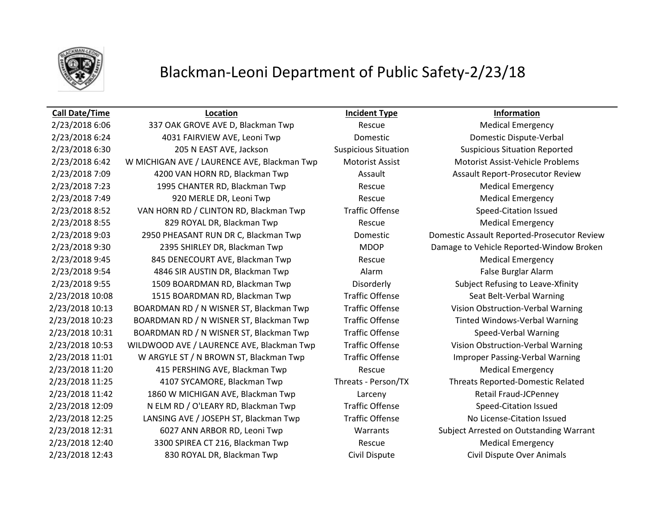

# Blackman-Leoni Department of Public Safety-2/23/18

### **Call Date/Time Location Incident Type Information**

2/23/2018 6:24 4031 FAIRVIEW AVE, Leoni Twp Domestic Domestic Dispute-Verbal 2/23/2018 6:30 205 N EAST AVE, Jackson Suspicious Situation Suspicious Situation Reported 2/23/2018 6:42 W MICHIGAN AVE / LAURENCE AVE, Blackman Twp Motorist Assist Motorist Assist-Vehicle Problems 2/23/2018 7:09 4200 VAN HORN RD, Blackman Twp Assault Assault Assault Report-Prosecutor Review 2/23/2018 7:23 1995 CHANTER RD, Blackman Twp Rescue Medical Emergency 2/23/2018 7:49 920 MERLE DR, Leoni Twp Rescue Rescue Medical Emergency 2/23/2018 8:52 VAN HORN RD / CLINTON RD, Blackman Twp Traffic Offense Speed-Citation Issued 2/23/2018 8:55 829 ROYAL DR, Blackman Twp Rescue Medical Emergency 2/23/2018 9:03 2950 PHEASANT RUN DR C, Blackman Twp Domestic Domestic Assault Reported-Prosecutor Review 2/23/2018 9:30 2395 SHIRLEY DR, Blackman Twp MDOP Damage to Vehicle Reported-Window Broken 2/23/2018 9:45 845 DENECOURT AVE, Blackman Twp Rescue Medical Emergency 2/23/2018 9:54 4846 SIR AUSTIN DR, Blackman Twp Alarm Alarm False Burglar Alarm 2/23/2018 9:55 1509 BOARDMAN RD, Blackman Twp Disorderly Subject Refusing to Leave-Xfinity 2/23/2018 10:08 1515 BOARDMAN RD, Blackman Twp Traffic Offense Seat Belt-Verbal Warning 2/23/2018 10:13 BOARDMAN RD / N WISNER ST, Blackman Twp Traffic Offense Vision Obstruction-Verbal Warning 2/23/2018 10:23 BOARDMAN RD / N WISNER ST, Blackman Twp Traffic Offense Tinted Windows-Verbal Warning 2/23/2018 10:31 BOARDMAN RD / N WISNER ST, Blackman Twp Traffic Offense Speed-Verbal Warning 2/23/2018 10:53 WILDWOOD AVE / LAURENCE AVE, Blackman Twp Traffic Offense Vision Obstruction-Verbal Warning 2/23/2018 11:01 W ARGYLE ST / N BROWN ST, Blackman Twp Traffic Offense Improper Passing-Verbal Warning 2/23/2018 11:20 415 PERSHING AVE, Blackman Twp Rescue Medical Emergency 2/23/2018 11:25 4107 SYCAMORE, Blackman Twp Threats - Person/TX Threats Reported-Domestic Related 2/23/2018 11:42 1860 W MICHIGAN AVE, Blackman Twp Larceny Larceny Retail Fraud-JCPenney 2/23/2018 12:09 N ELM RD / O'LEARY RD, Blackman Twp Traffic Offense Speed-Citation Issued 2/23/2018 12:25 LANSING AVE / JOSEPH ST, Blackman Twp Traffic Offense No License-Citation Issued 2/23/2018 12:31 6027 ANN ARBOR RD, Leoni Twp Warrants Subject Arrested on Outstanding Warrant 2/23/2018 12:40 3300 SPIREA CT 216, Blackman Twp Rescue Rescue Medical Emergency 2/23/2018 12:43 830 ROYAL DR, Blackman Twp Civil Dispute Civil Dispute Over Animals

2/23/2018 6:06 337 OAK GROVE AVE D, Blackman Twp Rescue Rescue Medical Emergency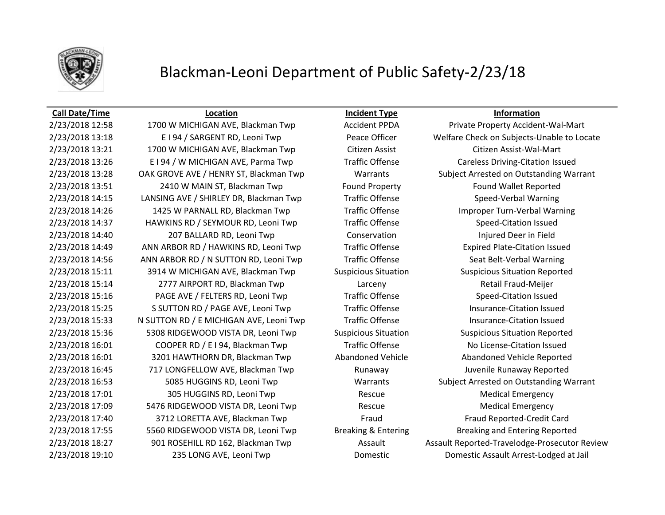

## Blackman-Leoni Department of Public Safety-2/23/18

### **Call Date/Time Location Incident Type Information**

2/23/2018 12:58 1700 W MICHIGAN AVE, Blackman Twp **Accident PPDA** Private Property Accident-Wal-Mart 2/23/2018 13:21 1700 W MICHIGAN AVE, Blackman Twp Citizen Assist Citizen Assist-Wal-Mart 2/23/2018 13:26 E I 94 / W MICHIGAN AVE, Parma Twp Traffic Offense Careless Driving-Citation Issued 2/23/2018 13:51 2410 W MAIN ST, Blackman Twp Found Property Found Wallet Reported 2/23/2018 14:15 LANSING AVE / SHIRLEY DR, Blackman Twp Traffic Offense Speed-Verbal Warning 2/23/2018 14:26 1425 W PARNALL RD, Blackman Twp Traffic Offense Improper Turn-Verbal Warning 2/23/2018 14:37 HAWKINS RD / SEYMOUR RD, Leoni Twp Traffic Offense Speed-Citation Issued 2/23/2018 14:40 207 BALLARD RD, Leoni Twp Conservation Injured Deer in Field 2/23/2018 14:49 ANN ARBOR RD / HAWKINS RD, Leoni Twp Traffic Offense Expired Plate-Citation Issued 2/23/2018 14:56 ANN ARBOR RD / N SUTTON RD, Leoni Twp Traffic Offense Seat Belt-Verbal Warning 2/23/2018 15:11 3914 W MICHIGAN AVE, Blackman Twp Suspicious Situation Suspicious Situation Reported 2/23/2018 15:14 2777 AIRPORT RD, Blackman Twp Larceny Retail Fraud-Meijer 2/23/2018 15:16 PAGE AVE / FELTERS RD, Leoni Twp Traffic Offense Speed-Citation Issued 2/23/2018 15:25 S SUTTON RD / PAGE AVE, Leoni Twp Traffic Offense Insurance-Citation Issued 2/23/2018 15:33 N SUTTON RD / E MICHIGAN AVE, Leoni Twp Traffic Offense Insurance-Citation Issued 2/23/2018 15:36 5308 RIDGEWOOD VISTA DR, Leoni Twp Suspicious Situation Suspicious Situation Reported 2/23/2018 16:01 COOPER RD / E I 94, Blackman Twp Traffic Offense No License-Citation Issued 2/23/2018 16:01 3201 HAWTHORN DR, Blackman Twp Abandoned Vehicle Abandoned Vehicle Reported 2/23/2018 16:45 717 LONGFELLOW AVE, Blackman Twp Runaway Runaway Juvenile Runaway Reported 2/23/2018 17:01 305 HUGGINS RD, Leoni Twp Rescue Rescue Medical Emergency 2/23/2018 17:09 5476 RIDGEWOOD VISTA DR, Leoni Twp Rescue Rescue Medical Emergency 2/23/2018 17:40 3712 LORETTA AVE, Blackman Twp Fraud Fraud Reported-Credit Card 2/23/2018 17:55 5560 RIDGEWOOD VISTA DR, Leoni Twp Breaking & Entering Breaking and Entering Reported 2/23/2018 19:10 235 LONG AVE, Leoni Twp Domestic Domestic Assault Arrest-Lodged at Jail

2/23/2018 13:18 E I 94 / SARGENT RD, Leoni Twp Peace Officer Welfare Check on Subjects-Unable to Locate 2/23/2018 13:28 OAK GROVE AVE / HENRY ST, Blackman Twp Warrants Subject Arrested on Outstanding Warrant 2/23/2018 16:53 5085 HUGGINS RD, Leoni Twp Warrants Subject Arrested on Outstanding Warrant 2/23/2018 18:27 901 ROSEHILL RD 162, Blackman Twp **Assault Assault Assault Reported-Travelodge-Prosecutor Review**